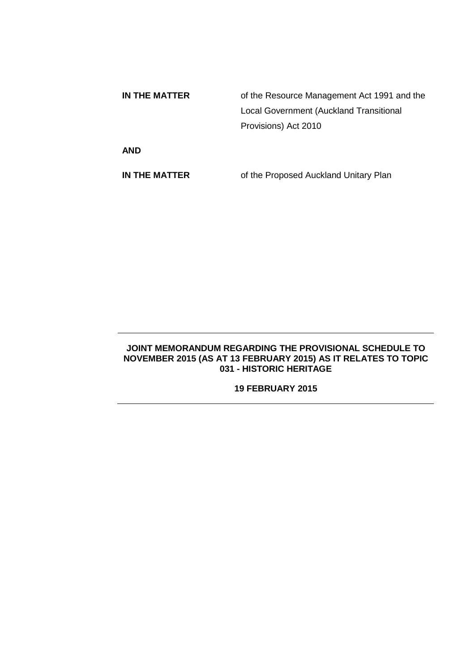| IN THE MATTER | of the Resource Management Act 1991 and the |
|---------------|---------------------------------------------|
|               | Local Government (Auckland Transitional     |
|               | Provisions) Act 2010                        |
| <b>AND</b>    |                                             |

**IN THE MATTER** of the Proposed Auckland Unitary Plan

# **JOINT MEMORANDUM REGARDING THE PROVISIONAL SCHEDULE TO NOVEMBER 2015 (AS AT 13 FEBRUARY 2015) AS IT RELATES TO TOPIC 031 - HISTORIC HERITAGE**

# **19 FEBRUARY 2015**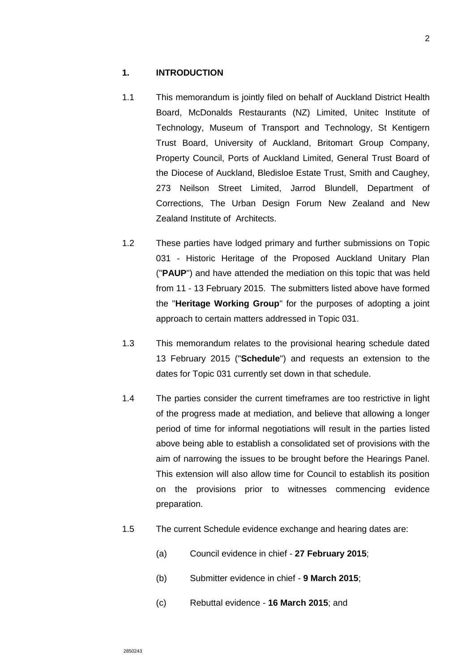- 1.1 This memorandum is jointly filed on behalf of Auckland District Health Board, McDonalds Restaurants (NZ) Limited, Unitec Institute of Technology, Museum of Transport and Technology, St Kentigern Trust Board, University of Auckland, Britomart Group Company, Property Council, Ports of Auckland Limited, General Trust Board of the Diocese of Auckland, Bledisloe Estate Trust, Smith and Caughey, 273 Neilson Street Limited, Jarrod Blundell, Department of Corrections, The Urban Design Forum New Zealand and New Zealand Institute of Architects.
- 1.2 These parties have lodged primary and further submissions on Topic 031 - Historic Heritage of the Proposed Auckland Unitary Plan ("**PAUP**") and have attended the mediation on this topic that was held from 11 - 13 February 2015. The submitters listed above have formed the "**Heritage Working Group**" for the purposes of adopting a joint approach to certain matters addressed in Topic 031.
- 1.3 This memorandum relates to the provisional hearing schedule dated 13 February 2015 ("**Schedule**") and requests an extension to the dates for Topic 031 currently set down in that schedule.
- 1.4 The parties consider the current timeframes are too restrictive in light of the progress made at mediation, and believe that allowing a longer period of time for informal negotiations will result in the parties listed above being able to establish a consolidated set of provisions with the aim of narrowing the issues to be brought before the Hearings Panel. This extension will also allow time for Council to establish its position on the provisions prior to witnesses commencing evidence preparation.
- 1.5 The current Schedule evidence exchange and hearing dates are:
	- (a) Council evidence in chief **27 February 2015**;
	- (b) Submitter evidence in chief **9 March 2015**;
	- (c) Rebuttal evidence **16 March 2015**; and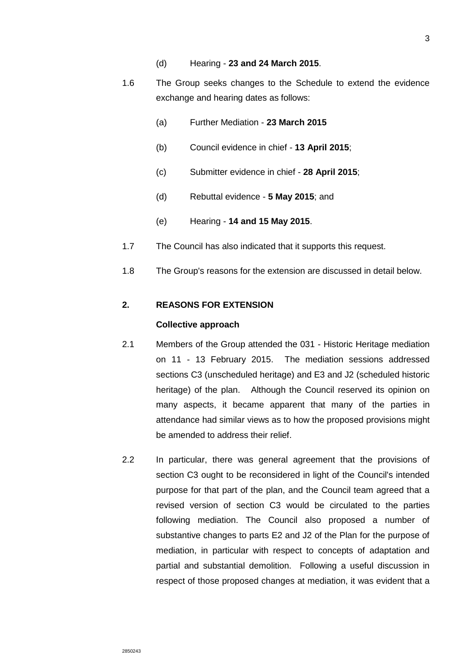- (d) Hearing **23 and 24 March 2015**.
- 1.6 The Group seeks changes to the Schedule to extend the evidence exchange and hearing dates as follows:
	- (a) Further Mediation **23 March 2015**
	- (b) Council evidence in chief **13 April 2015**;
	- (c) Submitter evidence in chief **28 April 2015**;
	- (d) Rebuttal evidence **5 May 2015**; and
	- (e) Hearing **14 and 15 May 2015**.
- 1.7 The Council has also indicated that it supports this request.
- 1.8 The Group's reasons for the extension are discussed in detail below.

#### **2. REASONS FOR EXTENSION**

#### **Collective approach**

- 2.1 Members of the Group attended the 031 Historic Heritage mediation on 11 - 13 February 2015. The mediation sessions addressed sections C3 (unscheduled heritage) and E3 and J2 (scheduled historic heritage) of the plan. Although the Council reserved its opinion on many aspects, it became apparent that many of the parties in attendance had similar views as to how the proposed provisions might be amended to address their relief.
- 2.2 In particular, there was general agreement that the provisions of section C3 ought to be reconsidered in light of the Council's intended purpose for that part of the plan, and the Council team agreed that a revised version of section C3 would be circulated to the parties following mediation. The Council also proposed a number of substantive changes to parts E2 and J2 of the Plan for the purpose of mediation, in particular with respect to concepts of adaptation and partial and substantial demolition. Following a useful discussion in respect of those proposed changes at mediation, it was evident that a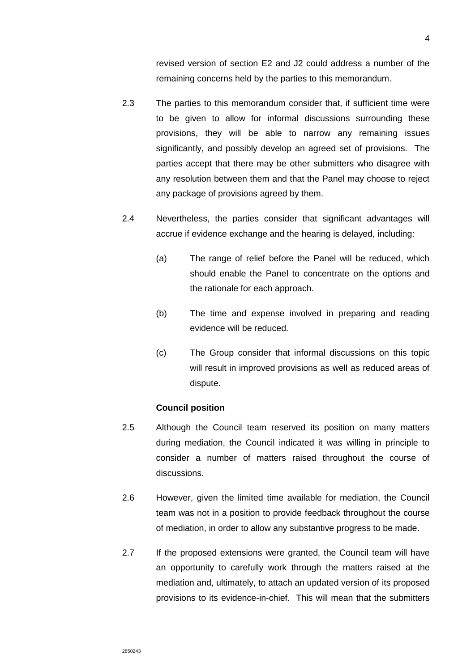revised version of section E2 and J2 could address a number of the remaining concerns held by the parties to this memorandum.

- 2.3 The parties to this memorandum consider that, if sufficient time were to be given to allow for informal discussions surrounding these provisions, they will be able to narrow any remaining issues significantly, and possibly develop an agreed set of provisions. The parties accept that there may be other submitters who disagree with any resolution between them and that the Panel may choose to reject any package of provisions agreed by them.
- 2.4 Nevertheless, the parties consider that significant advantages will accrue if evidence exchange and the hearing is delayed, including:
	- (a) The range of relief before the Panel will be reduced, which should enable the Panel to concentrate on the options and the rationale for each approach.
	- (b) The time and expense involved in preparing and reading evidence will be reduced.
	- (c) The Group consider that informal discussions on this topic will result in improved provisions as well as reduced areas of dispute.

### **Council position**

- 2.5 Although the Council team reserved its position on many matters during mediation, the Council indicated it was willing in principle to consider a number of matters raised throughout the course of discussions.
- 2.6 However, given the limited time available for mediation, the Council team was not in a position to provide feedback throughout the course of mediation, in order to allow any substantive progress to be made.
- 2.7 If the proposed extensions were granted, the Council team will have an opportunity to carefully work through the matters raised at the mediation and, ultimately, to attach an updated version of its proposed provisions to its evidence-in-chief. This will mean that the submitters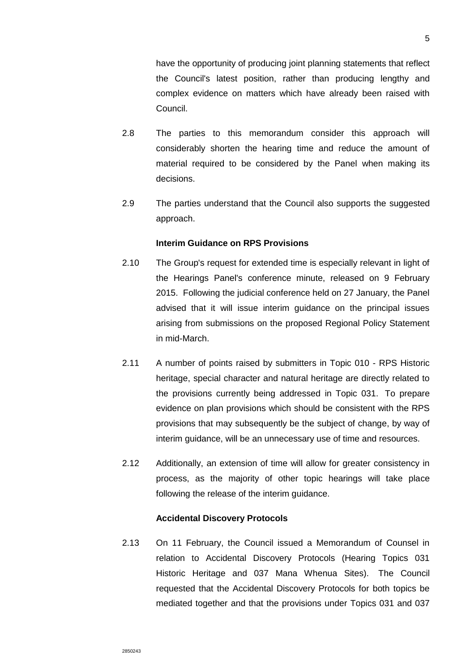have the opportunity of producing joint planning statements that reflect the Council's latest position, rather than producing lengthy and complex evidence on matters which have already been raised with Council.

- 2.8 The parties to this memorandum consider this approach will considerably shorten the hearing time and reduce the amount of material required to be considered by the Panel when making its decisions.
- 2.9 The parties understand that the Council also supports the suggested approach.

### **Interim Guidance on RPS Provisions**

- 2.10 The Group's request for extended time is especially relevant in light of the Hearings Panel's conference minute, released on 9 February 2015. Following the judicial conference held on 27 January, the Panel advised that it will issue interim guidance on the principal issues arising from submissions on the proposed Regional Policy Statement in mid-March.
- 2.11 A number of points raised by submitters in Topic 010 RPS Historic heritage, special character and natural heritage are directly related to the provisions currently being addressed in Topic 031. To prepare evidence on plan provisions which should be consistent with the RPS provisions that may subsequently be the subject of change, by way of interim guidance, will be an unnecessary use of time and resources.
- 2.12 Additionally, an extension of time will allow for greater consistency in process, as the majority of other topic hearings will take place following the release of the interim guidance.

#### **Accidental Discovery Protocols**

2.13 On 11 February, the Council issued a Memorandum of Counsel in relation to Accidental Discovery Protocols (Hearing Topics 031 Historic Heritage and 037 Mana Whenua Sites). The Council requested that the Accidental Discovery Protocols for both topics be mediated together and that the provisions under Topics 031 and 037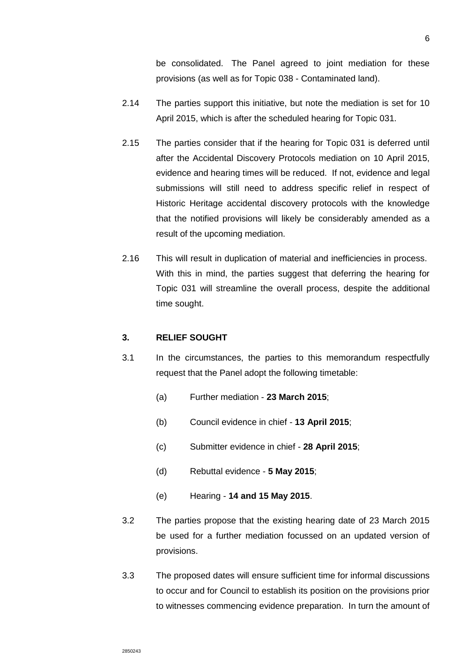be consolidated. The Panel agreed to joint mediation for these provisions (as well as for Topic 038 - Contaminated land).

- 2.14 The parties support this initiative, but note the mediation is set for 10 April 2015, which is after the scheduled hearing for Topic 031.
- 2.15 The parties consider that if the hearing for Topic 031 is deferred until after the Accidental Discovery Protocols mediation on 10 April 2015, evidence and hearing times will be reduced. If not, evidence and legal submissions will still need to address specific relief in respect of Historic Heritage accidental discovery protocols with the knowledge that the notified provisions will likely be considerably amended as a result of the upcoming mediation.
- 2.16 This will result in duplication of material and inefficiencies in process. With this in mind, the parties suggest that deferring the hearing for Topic 031 will streamline the overall process, despite the additional time sought.

### **3. RELIEF SOUGHT**

- 3.1 In the circumstances, the parties to this memorandum respectfully request that the Panel adopt the following timetable:
	- (a) Further mediation **23 March 2015**;
	- (b) Council evidence in chief **13 April 2015**;
	- (c) Submitter evidence in chief **28 April 2015**;
	- (d) Rebuttal evidence **5 May 2015**;
	- (e) Hearing **14 and 15 May 2015**.
- 3.2 The parties propose that the existing hearing date of 23 March 2015 be used for a further mediation focussed on an updated version of provisions.
- 3.3 The proposed dates will ensure sufficient time for informal discussions to occur and for Council to establish its position on the provisions prior to witnesses commencing evidence preparation. In turn the amount of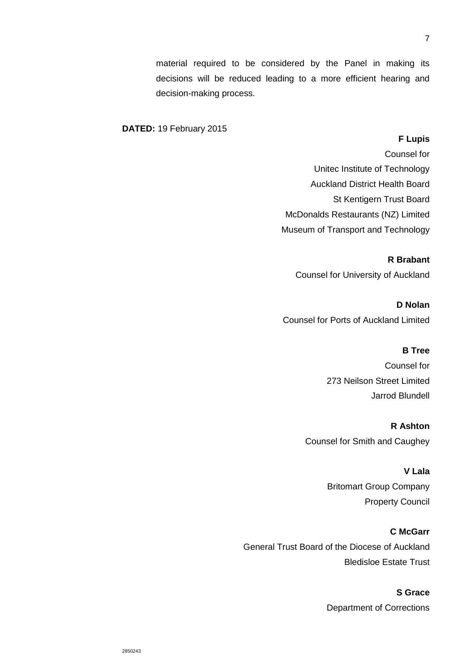material required to be considered by the Panel in making its decisions will be reduced leading to a more efficient hearing and decision-making process.

### **DATED:** 19 February 2015

#### **F Lupis**

Counsel for Unitec Institute of Technology Auckland District Health Board St Kentigern Trust Board McDonalds Restaurants (NZ) Limited Museum of Transport and Technology

**R Brabant**

Counsel for University of Auckland

**D Nolan**  Counsel for Ports of Auckland Limited

## **B Tree**

Counsel for 273 Neilson Street Limited Jarrod Blundell

**R Ashton** Counsel for Smith and Caughey

> **V Lala** Britomart Group Company Property Council

#### **C McGarr**

General Trust Board of the Diocese of Auckland Bledisloe Estate Trust

# **S Grace**

Department of Corrections